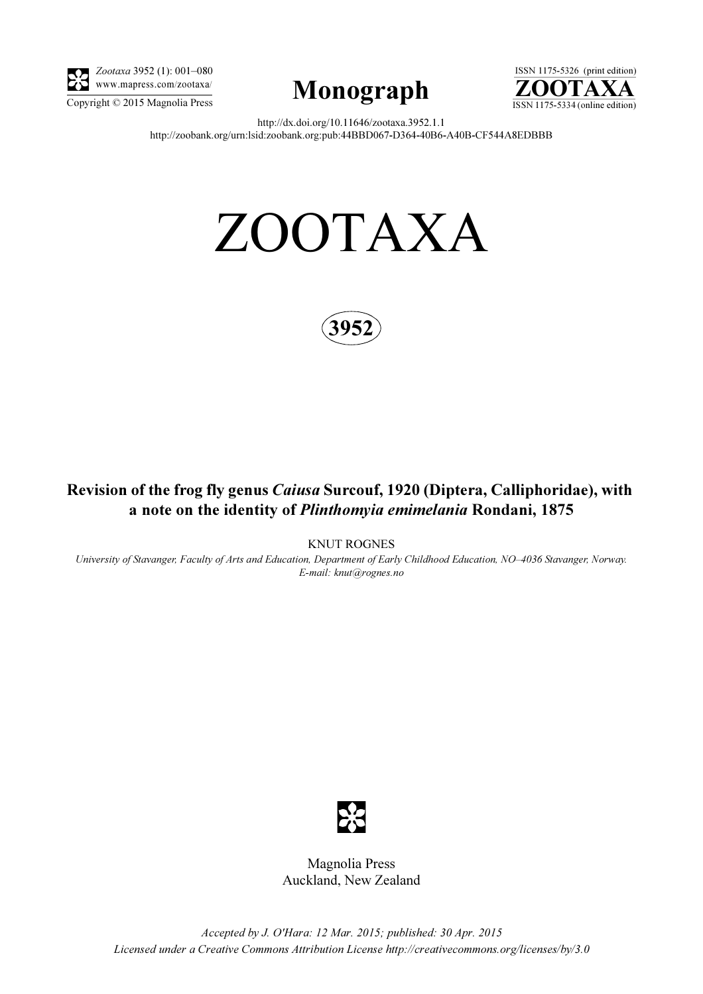

Zootaxa 3952 (1): 001–080 www.mapress.com/zootaxa/





http://dx.doi.org/10.11646/zootaxa.3952.1.1 http://zoobank.org/urn:lsid:zoobank.org:pub:44BBD067-D364-40B6-A40B-CF544A8EDBBB

# ZOOTAXA



## Revision of the frog fly genus Caiusa Surcouf, 1920 (Diptera, Calliphoridae), with a note on the identity of Plinthomyia emimelania Rondani, 1875

KNUT ROGNES

University of Stavanger, Faculty of Arts and Education, Department of Early Childhood Education, NO–4036 Stavanger, Norway. E-mail: knut@rognes.no



Magnolia Press Auckland, New Zealand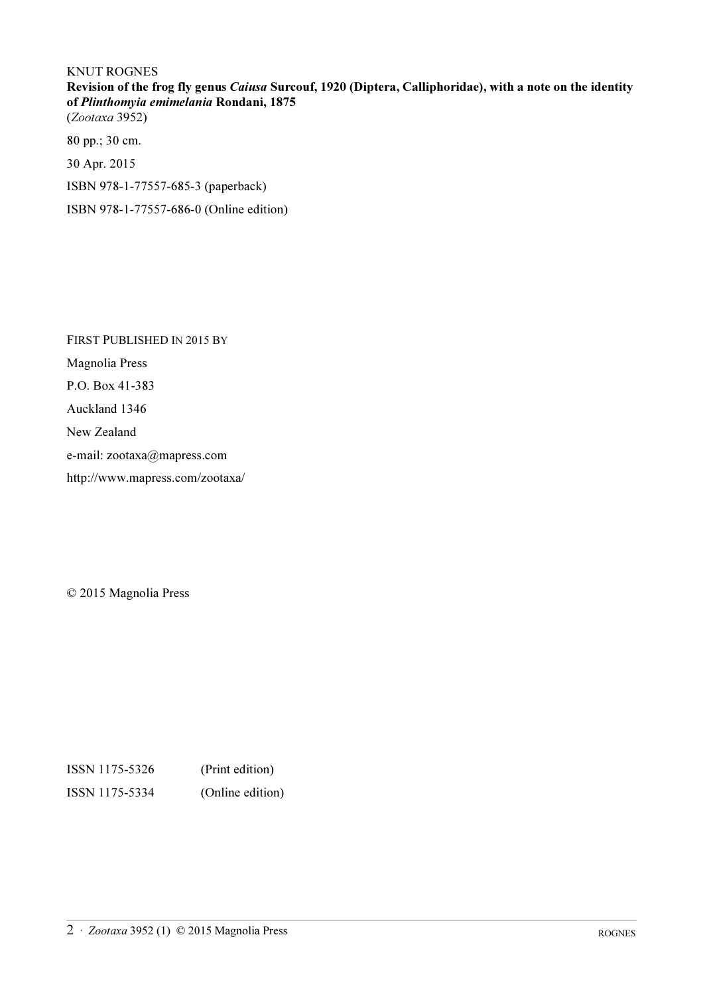### KNUT ROGNES Revision of the frog fly genus Caiusa Surcouf, 1920 (Diptera, Calliphoridae), with a note on the identity of Plinthomyia emimelania Rondani, 1875 (Zootaxa 3952)

80 pp.; 30 cm.

30 Apr. 2015

ISBN 978-1-77557-685-3 (paperback)

ISBN 978-1-77557-686-0 (Online edition)

FIRST PUBLISHED IN 2015 BY Magnolia Press P.O. Box 41-383 Auckland 1346 New Zealand e-mail: zootaxa@mapress.com http://www.mapress.com/zootaxa/

© 2015 Magnolia Press

ISSN 1175-5326 (Print edition) ISSN 1175-5334 (Online edition)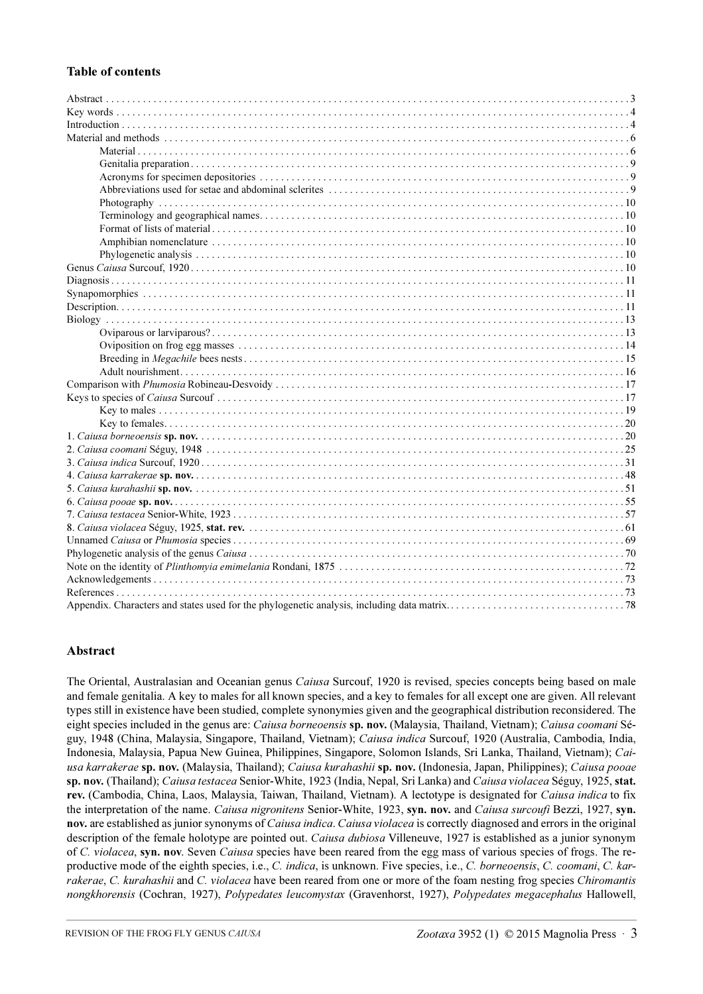#### Table of contents

#### Abstract

The Oriental, Australasian and Oceanian genus *Caiusa* Surcouf, 1920 is revised, species concepts being based on male and female genitalia. A key to males for all known species, and a key to females for all except one are given. All relevant types still in existence have been studied, complete synonymies given and the geographical distribution reconsidered. The eight species included in the genus are: Caiusa borneoensis sp. nov. (Malaysia, Thailand, Vietnam); Caiusa coomani Séguy, 1948 (China, Malaysia, Singapore, Thailand, Vietnam); Caiusa indica Surcouf, 1920 (Australia, Cambodia, India, Indonesia, Malaysia, Papua New Guinea, Philippines, Singapore, Solomon Islands, Sri Lanka, Thailand, Vietnam); Caiusa karrakerae sp. nov. (Malaysia, Thailand); Caiusa kurahashii sp. nov. (Indonesia, Japan, Philippines); Caiusa pooae sp. nov. (Thailand); Caiusa testacea Senior-White, 1923 (India, Nepal, Sri Lanka) and Caiusa violacea Séguy, 1925, stat. rev. (Cambodia, China, Laos, Malaysia, Taiwan, Thailand, Vietnam). A lectotype is designated for Caiusa indica to fix the interpretation of the name. Caiusa nigronitens Senior-White, 1923, syn. nov. and Caiusa surcoufi Bezzi, 1927, syn. nov. are established as junior synonyms of Caiusa indica. Caiusa violacea is correctly diagnosed and errors in the original description of the female holotype are pointed out. Caiusa dubiosa Villeneuve, 1927 is established as a junior synonym of C. violacea, syn. nov. Seven Caiusa species have been reared from the egg mass of various species of frogs. The reproductive mode of the eighth species, i.e., C. indica, is unknown. Five species, i.e., C. borneoensis, C. coomani, C. karrakerae, C. kurahashii and C. violacea have been reared from one or more of the foam nesting frog species Chiromantis nongkhorensis (Cochran, 1927), Polypedates leucomystax (Gravenhorst, 1927), Polypedates megacephalus Hallowell,